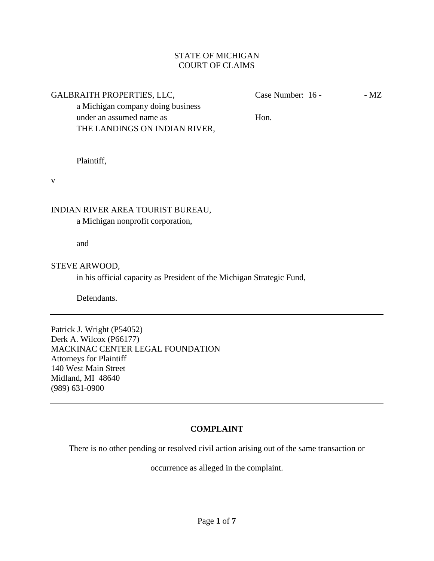# STATE OF MICHIGAN COURT OF CLAIMS

GALBRAITH PROPERTIES, LLC, Case Number: 16 - MZ

a Michigan company doing business under an assumed name as **Hon.** THE LANDINGS ON INDIAN RIVER,

Plaintiff,

v

# INDIAN RIVER AREA TOURIST BUREAU,

a Michigan nonprofit corporation,

and

## STEVE ARWOOD,

in his official capacity as President of the Michigan Strategic Fund,

Defendants.

Patrick J. Wright (P54052) Derk A. Wilcox (P66177) MACKINAC CENTER LEGAL FOUNDATION Attorneys for Plaintiff 140 West Main Street Midland, MI 48640 (989) 631-0900

# **COMPLAINT**

There is no other pending or resolved civil action arising out of the same transaction or

occurrence as alleged in the complaint.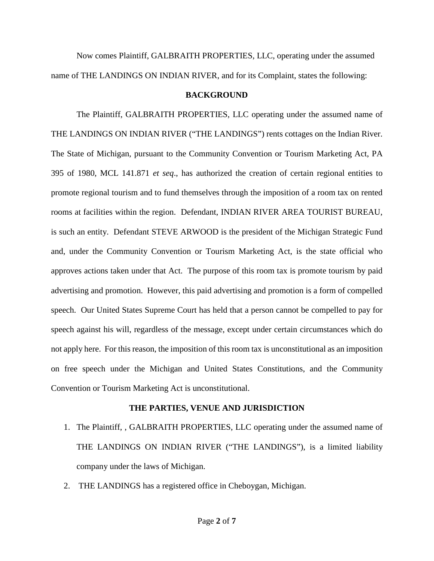Now comes Plaintiff, GALBRAITH PROPERTIES, LLC, operating under the assumed name of THE LANDINGS ON INDIAN RIVER, and for its Complaint, states the following:

## **BACKGROUND**

The Plaintiff, GALBRAITH PROPERTIES, LLC operating under the assumed name of THE LANDINGS ON INDIAN RIVER ("THE LANDINGS") rents cottages on the Indian River. The State of Michigan, pursuant to the Community Convention or Tourism Marketing Act, PA 395 of 1980, MCL 141.871 *et seq*., has authorized the creation of certain regional entities to promote regional tourism and to fund themselves through the imposition of a room tax on rented rooms at facilities within the region. Defendant, INDIAN RIVER AREA TOURIST BUREAU, is such an entity. Defendant STEVE ARWOOD is the president of the Michigan Strategic Fund and, under the Community Convention or Tourism Marketing Act, is the state official who approves actions taken under that Act. The purpose of this room tax is promote tourism by paid advertising and promotion. However, this paid advertising and promotion is a form of compelled speech. Our United States Supreme Court has held that a person cannot be compelled to pay for speech against his will, regardless of the message, except under certain circumstances which do not apply here. For this reason, the imposition of this room tax is unconstitutional as an imposition on free speech under the Michigan and United States Constitutions, and the Community Convention or Tourism Marketing Act is unconstitutional.

## **THE PARTIES, VENUE AND JURISDICTION**

- 1. The Plaintiff, , GALBRAITH PROPERTIES, LLC operating under the assumed name of THE LANDINGS ON INDIAN RIVER ("THE LANDINGS"), is a limited liability company under the laws of Michigan.
- 2. THE LANDINGS has a registered office in Cheboygan, Michigan.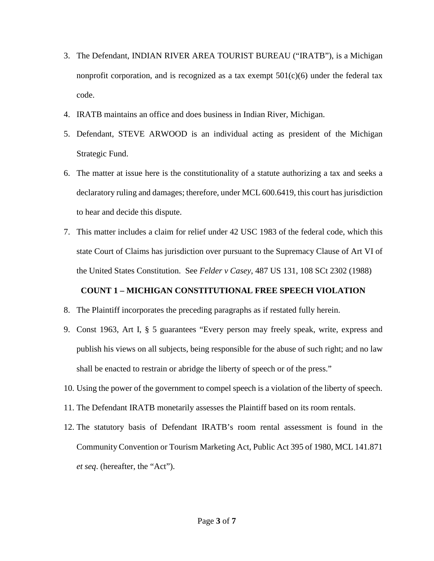- 3. The Defendant, INDIAN RIVER AREA TOURIST BUREAU ("IRATB"), is a Michigan nonprofit corporation, and is recognized as a tax exempt  $501(c)(6)$  under the federal tax code.
- 4. IRATB maintains an office and does business in Indian River, Michigan.
- 5. Defendant, STEVE ARWOOD is an individual acting as president of the Michigan Strategic Fund.
- 6. The matter at issue here is the constitutionality of a statute authorizing a tax and seeks a declaratory ruling and damages; therefore, under MCL 600.6419, this court has jurisdiction to hear and decide this dispute.
- 7. This matter includes a claim for relief under 42 USC 1983 of the federal code, which this state Court of Claims has jurisdiction over pursuant to the Supremacy Clause of Art VI of the United States Constitution. See *Felder v Casey*, 487 US 131, 108 SCt 2302 (1988)

# **COUNT 1 – MICHIGAN CONSTITUTIONAL FREE SPEECH VIOLATION**

- 8. The Plaintiff incorporates the preceding paragraphs as if restated fully herein.
- 9. Const 1963, Art I, § 5 guarantees "Every person may freely speak, write, express and publish his views on all subjects, being responsible for the abuse of such right; and no law shall be enacted to restrain or abridge the liberty of speech or of the press."
- 10. Using the power of the government to compel speech is a violation of the liberty of speech.
- 11. The Defendant IRATB monetarily assesses the Plaintiff based on its room rentals.
- 12. The statutory basis of Defendant IRATB's room rental assessment is found in the Community Convention or Tourism Marketing Act, Public Act 395 of 1980, MCL 141.871 *et seq*. (hereafter, the "Act").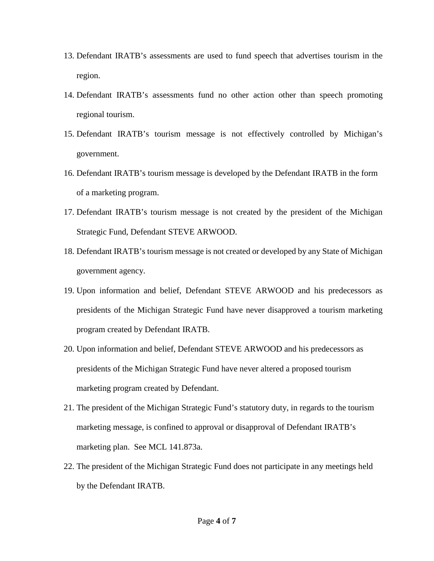- 13. Defendant IRATB's assessments are used to fund speech that advertises tourism in the region.
- 14. Defendant IRATB's assessments fund no other action other than speech promoting regional tourism.
- 15. Defendant IRATB's tourism message is not effectively controlled by Michigan's government.
- 16. Defendant IRATB's tourism message is developed by the Defendant IRATB in the form of a marketing program.
- 17. Defendant IRATB's tourism message is not created by the president of the Michigan Strategic Fund, Defendant STEVE ARWOOD.
- 18. Defendant IRATB's tourism message is not created or developed by any State of Michigan government agency.
- 19. Upon information and belief, Defendant STEVE ARWOOD and his predecessors as presidents of the Michigan Strategic Fund have never disapproved a tourism marketing program created by Defendant IRATB.
- 20. Upon information and belief, Defendant STEVE ARWOOD and his predecessors as presidents of the Michigan Strategic Fund have never altered a proposed tourism marketing program created by Defendant.
- 21. The president of the Michigan Strategic Fund's statutory duty, in regards to the tourism marketing message, is confined to approval or disapproval of Defendant IRATB's marketing plan. See MCL 141.873a.
- 22. The president of the Michigan Strategic Fund does not participate in any meetings held by the Defendant IRATB.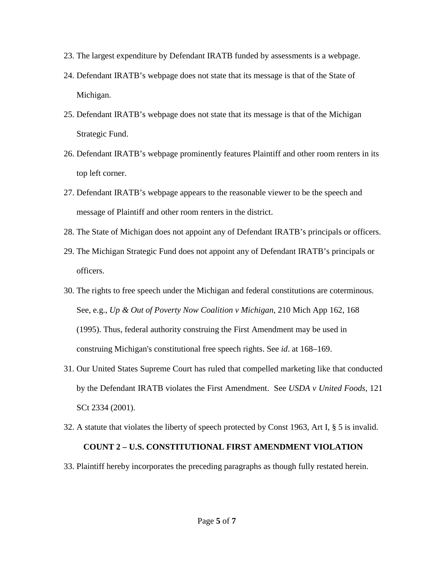- 23. The largest expenditure by Defendant IRATB funded by assessments is a webpage.
- 24. Defendant IRATB's webpage does not state that its message is that of the State of Michigan.
- 25. Defendant IRATB's webpage does not state that its message is that of the Michigan Strategic Fund.
- 26. Defendant IRATB's webpage prominently features Plaintiff and other room renters in its top left corner.
- 27. Defendant IRATB's webpage appears to the reasonable viewer to be the speech and message of Plaintiff and other room renters in the district.
- 28. The State of Michigan does not appoint any of Defendant IRATB's principals or officers.
- 29. The Michigan Strategic Fund does not appoint any of Defendant IRATB's principals or officers.
- 30. The rights to free speech under the Michigan and federal constitutions are coterminous. See, e.g., *Up & Out of Poverty Now Coalition v Michigan*, 210 Mich App 162, 168 (1995). Thus, federal authority construing the First Amendment may be used in construing Michigan's constitutional free speech rights. See *id*. at 168–169.
- 31. Our United States Supreme Court has ruled that compelled marketing like that conducted by the Defendant IRATB violates the First Amendment. See *USDA v United Foods*, 121 SCt 2334 (2001).
- 32. A statute that violates the liberty of speech protected by Const 1963, Art I, § 5 is invalid. **COUNT 2 – U.S. CONSTITUTIONAL FIRST AMENDMENT VIOLATION**
- 33. Plaintiff hereby incorporates the preceding paragraphs as though fully restated herein.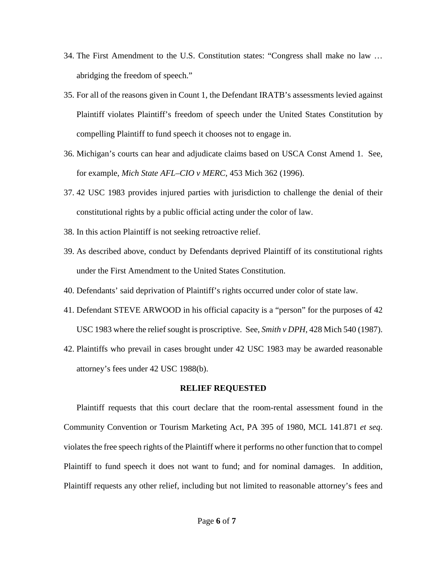- 34. The First Amendment to the U.S. Constitution states: "Congress shall make no law … abridging the freedom of speech."
- 35. For all of the reasons given in Count 1, the Defendant IRATB's assessments levied against Plaintiff violates Plaintiff's freedom of speech under the United States Constitution by compelling Plaintiff to fund speech it chooses not to engage in.
- 36. Michigan's courts can hear and adjudicate claims based on USCA Const Amend 1. See, for example, *Mich State AFL–CIO v MERC*, 453 Mich 362 (1996).
- 37. 42 USC 1983 provides injured parties with jurisdiction to challenge the denial of their constitutional rights by a public official acting under the color of law.
- 38. In this action Plaintiff is not seeking retroactive relief.
- 39. As described above, conduct by Defendants deprived Plaintiff of its constitutional rights under the First Amendment to the United States Constitution.
- 40. Defendants' said deprivation of Plaintiff's rights occurred under color of state law.
- 41. Defendant STEVE ARWOOD in his official capacity is a "person" for the purposes of 42 USC 1983 where the relief sought is proscriptive. See, *Smith v DPH*, 428 Mich 540 (1987).
- 42. Plaintiffs who prevail in cases brought under 42 USC 1983 may be awarded reasonable attorney's fees under 42 USC 1988(b).

## **RELIEF REQUESTED**

Plaintiff requests that this court declare that the room-rental assessment found in the Community Convention or Tourism Marketing Act, PA 395 of 1980, MCL 141.871 *et seq*. violates the free speech rights of the Plaintiff where it performs no other function that to compel Plaintiff to fund speech it does not want to fund; and for nominal damages. In addition, Plaintiff requests any other relief, including but not limited to reasonable attorney's fees and